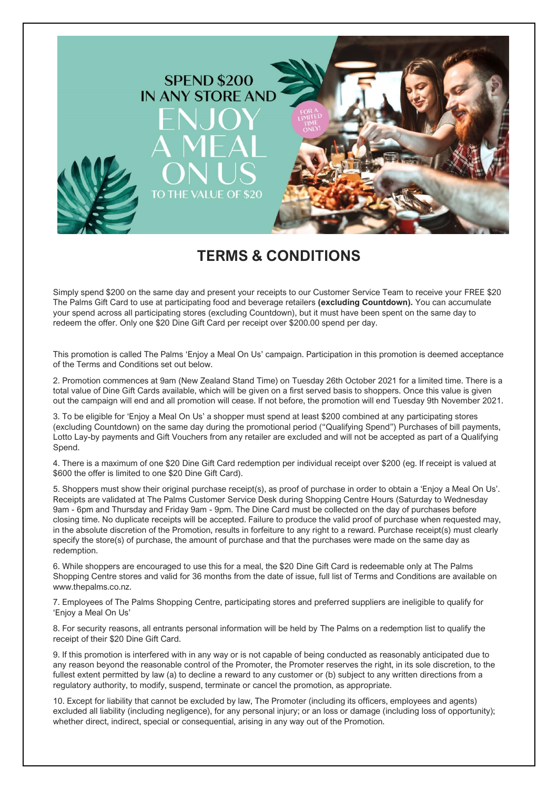

## **TERMS & CONDITIONS**

Simply spend \$200 on the same day and present your receipts to our Customer Service Team to receive your FREE \$20 The Palms Gift Card to use at participating food and beverage retailers **(excluding Countdown).** You can accumulate your spend across all participating stores (excluding Countdown), but it must have been spent on the same day to redeem the offer. Only one \$20 Dine Gift Card per receipt over \$200.00 spend per day.

This promotion is called The Palms 'Enjoy a Meal On Us' campaign. Participation in this promotion is deemed acceptance of the Terms and Conditions set out below.

2. Promotion commences at 9am (New Zealand Stand Time) on Tuesday 26th October 2021 for a limited time. There is a total value of Dine Gift Cards available, which will be given on a first served basis to shoppers. Once this value is given out the campaign will end and all promotion will cease. If not before, the promotion will end Tuesday 9th November 2021.

3. To be eligible for 'Enjoy a Meal On Us' a shopper must spend at least \$200 combined at any participating stores (excluding Countdown) on the same day during the promotional period ("Qualifying Spend") Purchases of bill payments, Lotto Lay-by payments and Gift Vouchers from any retailer are excluded and will not be accepted as part of a Qualifying Spend.

4. There is a maximum of one \$20 Dine Gift Card redemption per individual receipt over \$200 (eg. If receipt is valued at \$600 the offer is limited to one \$20 Dine Gift Card).

5. Shoppers must show their original purchase receipt(s), as proof of purchase in order to obtain a 'Enjoy a Meal On Us'. Receipts are validated at The Palms Customer Service Desk during Shopping Centre Hours (Saturday to Wednesday 9am - 6pm and Thursday and Friday 9am - 9pm. The Dine Card must be collected on the day of purchases before closing time. No duplicate receipts will be accepted. Failure to produce the valid proof of purchase when requested may, in the absolute discretion of the Promotion, results in forfeiture to any right to a reward. Purchase receipt(s) must clearly specify the store(s) of purchase, the amount of purchase and that the purchases were made on the same day as redemption.

6. While shoppers are encouraged to use this for a meal, the \$20 Dine Gift Card is redeemable only at The Palms Shopping Centre stores and valid for 36 months from the date of issue, full list of Terms and Conditions are available on www.thepalms.co.nz.

7. Employees of The Palms Shopping Centre, participating stores and preferred suppliers are ineligible to qualify for 'Enjoy a Meal On Us'

8. For security reasons, all entrants personal information will be held by The Palms on a redemption list to qualify the receipt of their \$20 Dine Gift Card.

9. If this promotion is interfered with in any way or is not capable of being conducted as reasonably anticipated due to any reason beyond the reasonable control of the Promoter, the Promoter reserves the right, in its sole discretion, to the fullest extent permitted by law (a) to decline a reward to any customer or (b) subject to any written directions from a regulatory authority, to modify, suspend, terminate or cancel the promotion, as appropriate.

10. Except for liability that cannot be excluded by law, The Promoter (including its officers, employees and agents) excluded all liability (including negligence), for any personal injury; or an loss or damage (including loss of opportunity); whether direct, indirect, special or consequential, arising in any way out of the Promotion.